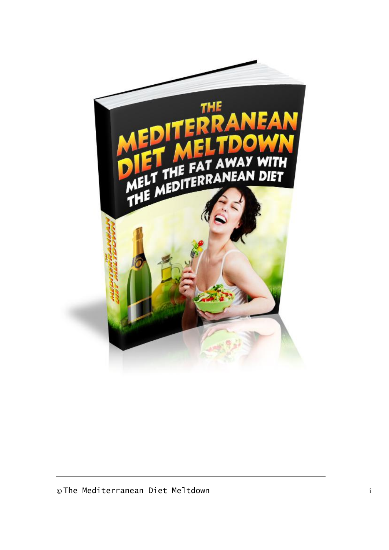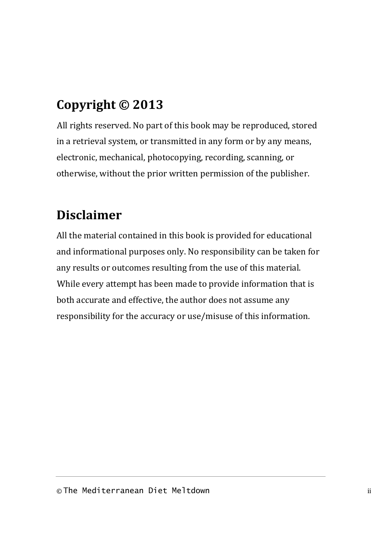# **Copyright © 2013**

All rights reserved. No part of this book may be reproduced, stored in a retrieval system, or transmitted in any form or by any means, electronic, mechanical, photocopying, recording, scanning, or otherwise, without the prior written permission of the publisher.

# **Disclaimer**

All the material contained in this book is provided for educational and informational purposes only. No responsibility can be taken for any results or outcomes resulting from the use of this material. While every attempt has been made to provide information that is both accurate and effective, the author does not assume any responsibility for the accuracy or use/misuse of this information.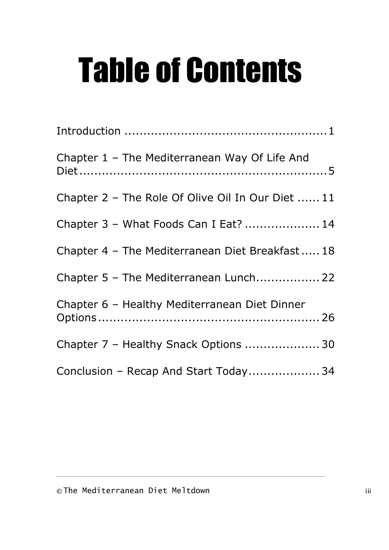# Table of Contents

| Chapter 1 - The Mediterranean Way Of Life And     |
|---------------------------------------------------|
| Chapter 2 - The Role Of Olive Oil In Our Diet  11 |
| Chapter 3 - What Foods Can I Eat?  14             |
| Chapter 4 - The Mediterranean Diet Breakfast 18   |
| Chapter 5 - The Mediterranean Lunch 22            |
| Chapter 6 - Healthy Mediterranean Diet Dinner     |
| Chapter 7 - Healthy Snack Options  30             |
| Conclusion - Recap And Start Today 34             |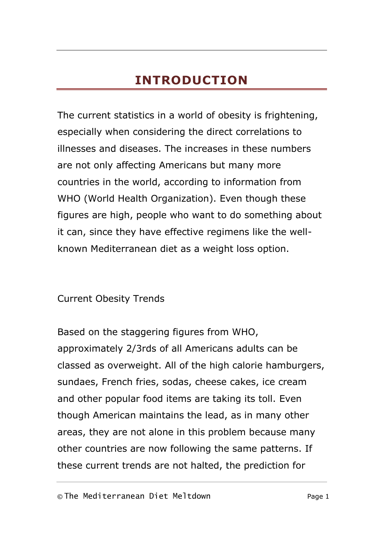# **INTRODUCTION**

<span id="page-3-0"></span>The current statistics in a world of obesity is frightening, especially when considering the direct correlations to illnesses and diseases. The increases in these numbers are not only affecting Americans but many more countries in the world, according to information from WHO (World Health Organization). Even though these figures are high, people who want to do something about it can, since they have effective regimens like the wellknown Mediterranean diet as a weight loss option.

Current Obesity Trends

Based on the staggering figures from WHO, approximately 2/3rds of all Americans adults can be classed as overweight. All of the high calorie hamburgers, sundaes, French fries, sodas, cheese cakes, ice cream and other popular food items are taking its toll. Even though American maintains the lead, as in many other areas, they are not alone in this problem because many other countries are now following the same patterns. If these current trends are not halted, the prediction for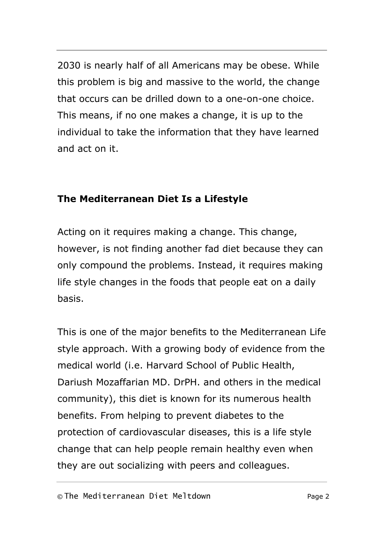2030 is nearly half of all Americans may be obese. While this problem is big and massive to the world, the change that occurs can be drilled down to a one-on-one choice. This means, if no one makes a change, it is up to the individual to take the information that they have learned and act on it.

### **The Mediterranean Diet Is a Lifestyle**

Acting on it requires making a change. This change, however, is not finding another fad diet because they can only compound the problems. Instead, it requires making life style changes in the foods that people eat on a daily basis.

This is one of the major benefits to the Mediterranean Life style approach. With a growing body of evidence from the medical world (i.e. Harvard School of Public Health, Dariush Mozaffarian MD. DrPH. and others in the medical community), this diet is known for its numerous health benefits. From helping to prevent diabetes to the protection of cardiovascular diseases, this is a life style change that can help people remain healthy even when they are out socializing with peers and colleagues.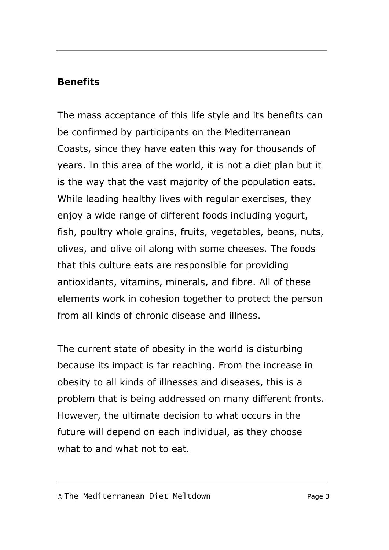### **Benefits**

The mass acceptance of this life style and its benefits can be confirmed by participants on the Mediterranean Coasts, since they have eaten this way for thousands of years. In this area of the world, it is not a diet plan but it is the way that the vast majority of the population eats. While leading healthy lives with regular exercises, they enjoy a wide range of different foods including yogurt, fish, poultry whole grains, fruits, vegetables, beans, nuts, olives, and olive oil along with some cheeses. The foods that this culture eats are responsible for providing antioxidants, vitamins, minerals, and fibre. All of these elements work in cohesion together to protect the person from all kinds of chronic disease and illness.

The current state of obesity in the world is disturbing because its impact is far reaching. From the increase in obesity to all kinds of illnesses and diseases, this is a problem that is being addressed on many different fronts. However, the ultimate decision to what occurs in the future will depend on each individual, as they choose what to and what not to eat.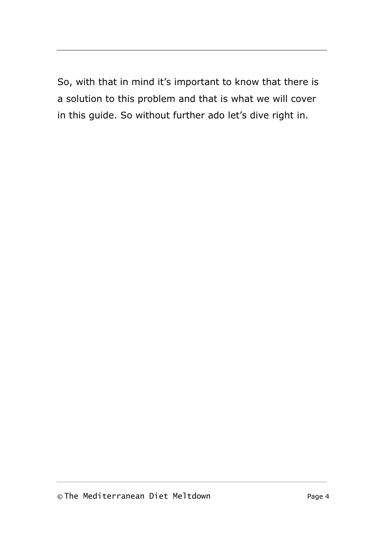So, with that in mind it's important to know that there is a solution to this problem and that is what we will cover in this guide. So without further ado let's dive right in.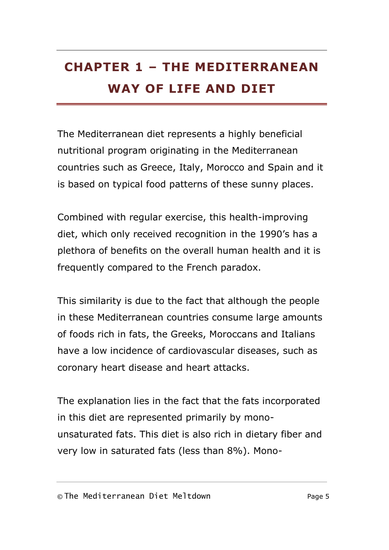# <span id="page-7-0"></span>**CHAPTER 1 – THE MEDITERRANEAN WAY OF LIFE AND DIET**

The Mediterranean diet represents a highly beneficial nutritional program originating in the Mediterranean countries such as Greece, Italy, Morocco and Spain and it is based on typical food patterns of these sunny places.

Combined with regular exercise, this health-improving diet, which only received recognition in the 1990's has a plethora of benefits on the overall human health and it is frequently compared to the French paradox.

This similarity is due to the fact that although the people in these Mediterranean countries consume large amounts of foods rich in fats, the Greeks, Moroccans and Italians have a low incidence of cardiovascular diseases, such as coronary heart disease and heart attacks.

The explanation lies in the fact that the fats incorporated in this diet are represented primarily by monounsaturated fats. This diet is also rich in dietary fiber and very low in saturated fats (less than 8%). Mono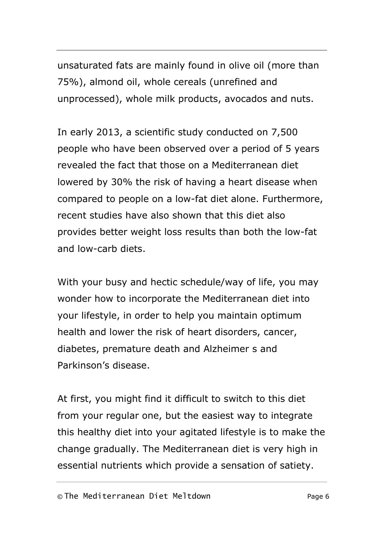unsaturated fats are mainly found in olive oil (more than 75%), almond oil, whole cereals (unrefined and unprocessed), whole milk products, avocados and nuts.

In early 2013, a scientific study conducted on 7,500 people who have been observed over a period of 5 years revealed the fact that those on a Mediterranean diet lowered by 30% the risk of having a heart disease when compared to people on a low-fat diet alone. Furthermore, recent studies have also shown that this diet also provides better weight loss results than both the low-fat and low-carb diets.

With your busy and hectic schedule/way of life, you may wonder how to incorporate the Mediterranean diet into your lifestyle, in order to help you maintain optimum health and lower the risk of heart disorders, cancer, diabetes, premature death and Alzheimer s and Parkinson's disease.

At first, you might find it difficult to switch to this diet from your regular one, but the easiest way to integrate this healthy diet into your agitated lifestyle is to make the change gradually. The Mediterranean diet is very high in essential nutrients which provide a sensation of satiety.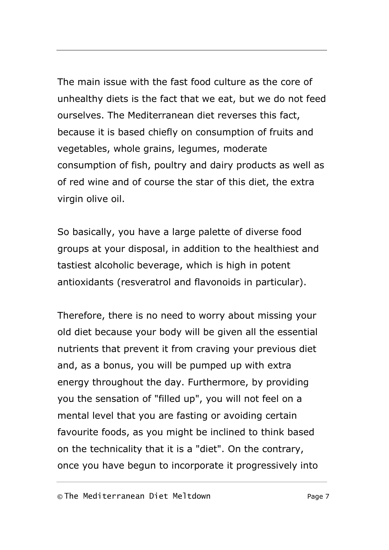The main issue with the fast food culture as the core of unhealthy diets is the fact that we eat, but we do not feed ourselves. The Mediterranean diet reverses this fact, because it is based chiefly on consumption of fruits and vegetables, whole grains, legumes, moderate consumption of fish, poultry and dairy products as well as of red wine and of course the star of this diet, the extra virgin olive oil.

So basically, you have a large palette of diverse food groups at your disposal, in addition to the healthiest and tastiest alcoholic beverage, which is high in potent antioxidants (resveratrol and flavonoids in particular).

Therefore, there is no need to worry about missing your old diet because your body will be given all the essential nutrients that prevent it from craving your previous diet and, as a bonus, you will be pumped up with extra energy throughout the day. Furthermore, by providing you the sensation of "filled up", you will not feel on a mental level that you are fasting or avoiding certain favourite foods, as you might be inclined to think based on the technicality that it is a "diet". On the contrary, once you have begun to incorporate it progressively into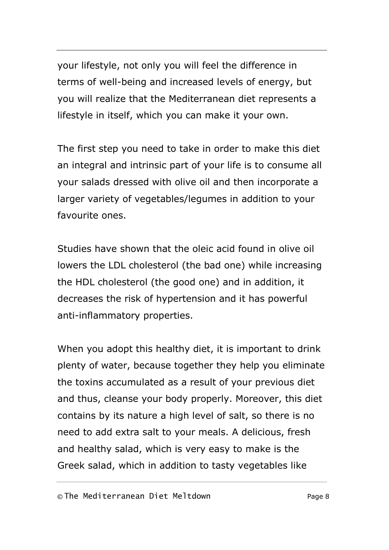your lifestyle, not only you will feel the difference in terms of well-being and increased levels of energy, but you will realize that the Mediterranean diet represents a lifestyle in itself, which you can make it your own.

The first step you need to take in order to make this diet an integral and intrinsic part of your life is to consume all your salads dressed with olive oil and then incorporate a larger variety of vegetables/legumes in addition to your favourite ones.

Studies have shown that the oleic acid found in olive oil lowers the LDL cholesterol (the bad one) while increasing the HDL cholesterol (the good one) and in addition, it decreases the risk of hypertension and it has powerful anti-inflammatory properties.

When you adopt this healthy diet, it is important to drink plenty of water, because together they help you eliminate the toxins accumulated as a result of your previous diet and thus, cleanse your body properly. Moreover, this diet contains by its nature a high level of salt, so there is no need to add extra salt to your meals. A delicious, fresh and healthy salad, which is very easy to make is the Greek salad, which in addition to tasty vegetables like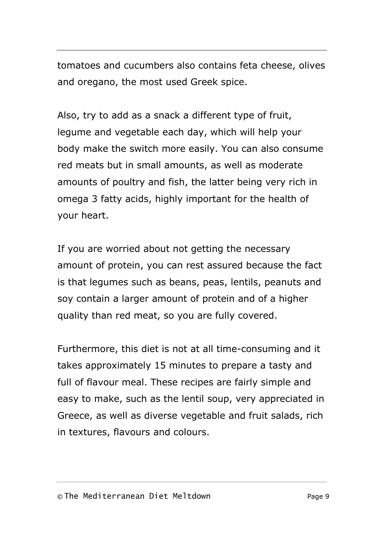tomatoes and cucumbers also contains feta cheese, olives and oregano, the most used Greek spice.

Also, try to add as a snack a different type of fruit, legume and vegetable each day, which will help your body make the switch more easily. You can also consume red meats but in small amounts, as well as moderate amounts of poultry and fish, the latter being very rich in omega 3 fatty acids, highly important for the health of your heart.

If you are worried about not getting the necessary amount of protein, you can rest assured because the fact is that legumes such as beans, peas, lentils, peanuts and soy contain a larger amount of protein and of a higher quality than red meat, so you are fully covered.

Furthermore, this diet is not at all time-consuming and it takes approximately 15 minutes to prepare a tasty and full of flavour meal. These recipes are fairly simple and easy to make, such as the lentil soup, very appreciated in Greece, as well as diverse vegetable and fruit salads, rich in textures, flavours and colours.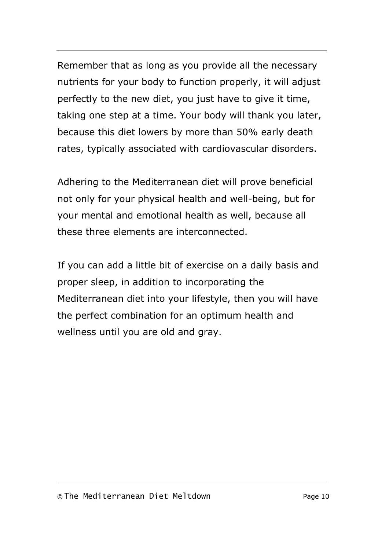Remember that as long as you provide all the necessary nutrients for your body to function properly, it will adjust perfectly to the new diet, you just have to give it time, taking one step at a time. Your body will thank you later, because this diet lowers by more than 50% early death rates, typically associated with cardiovascular disorders.

Adhering to the Mediterranean diet will prove beneficial not only for your physical health and well-being, but for your mental and emotional health as well, because all these three elements are interconnected.

If you can add a little bit of exercise on a daily basis and proper sleep, in addition to incorporating the Mediterranean diet into your lifestyle, then you will have the perfect combination for an optimum health and wellness until you are old and gray.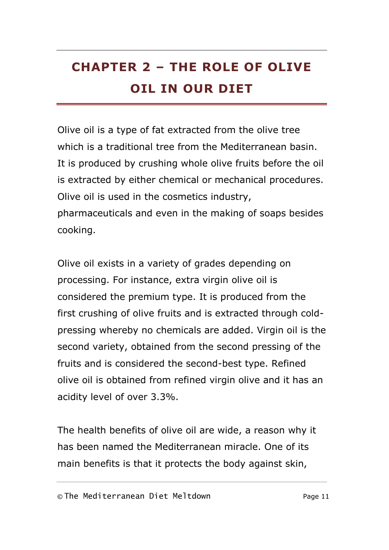# <span id="page-13-0"></span>**CHAPTER 2 – THE ROLE OF OLIVE OIL IN OUR DIET**

Olive oil is a type of fat extracted from the olive tree which is a traditional tree from the Mediterranean basin. It is produced by crushing whole olive fruits before the oil is extracted by either chemical or mechanical procedures. Olive oil is used in the cosmetics industry, pharmaceuticals and even in the making of soaps besides cooking.

Olive oil exists in a variety of grades depending on processing. For instance, extra virgin olive oil is considered the premium type. It is produced from the first crushing of olive fruits and is extracted through coldpressing whereby no chemicals are added. Virgin oil is the second variety, obtained from the second pressing of the fruits and is considered the second-best type. Refined olive oil is obtained from refined virgin olive and it has an acidity level of over 3.3%.

The health benefits of olive oil are wide, a reason why it has been named the Mediterranean miracle. One of its main benefits is that it protects the body against skin,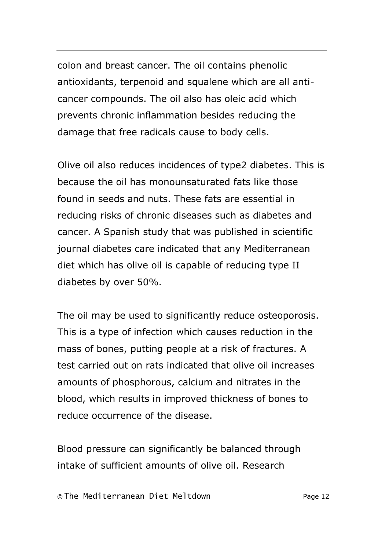colon and breast cancer. The oil contains phenolic antioxidants, terpenoid and squalene which are all anticancer compounds. The oil also has oleic acid which prevents chronic inflammation besides reducing the damage that free radicals cause to body cells.

Olive oil also reduces incidences of type2 diabetes. This is because the oil has monounsaturated fats like those found in seeds and nuts. These fats are essential in reducing risks of chronic diseases such as diabetes and cancer. A Spanish study that was published in scientific journal diabetes care indicated that any Mediterranean diet which has olive oil is capable of reducing type II diabetes by over 50%.

The oil may be used to significantly reduce osteoporosis. This is a type of infection which causes reduction in the mass of bones, putting people at a risk of fractures. A test carried out on rats indicated that olive oil increases amounts of phosphorous, calcium and nitrates in the blood, which results in improved thickness of bones to reduce occurrence of the disease.

Blood pressure can significantly be balanced through intake of sufficient amounts of olive oil. Research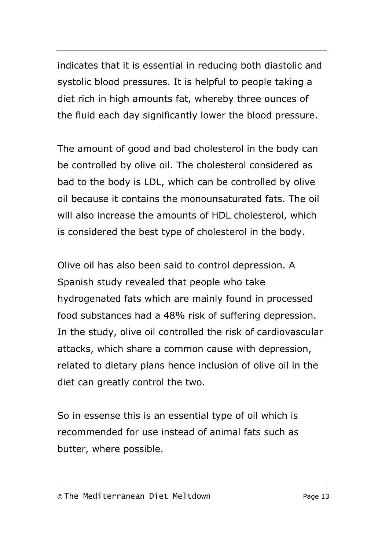indicates that it is essential in reducing both diastolic and systolic blood pressures. It is helpful to people taking a diet rich in high amounts fat, whereby three ounces of the fluid each day significantly lower the blood pressure.

The amount of good and bad cholesterol in the body can be controlled by olive oil. The cholesterol considered as bad to the body is LDL, which can be controlled by olive oil because it contains the monounsaturated fats. The oil will also increase the amounts of HDL cholesterol, which is considered the best type of cholesterol in the body.

Olive oil has also been said to control depression. A Spanish study revealed that people who take hydrogenated fats which are mainly found in processed food substances had a 48% risk of suffering depression. In the study, olive oil controlled the risk of cardiovascular attacks, which share a common cause with depression, related to dietary plans hence inclusion of olive oil in the diet can greatly control the two.

So in essense this is an essential type of oil which is recommended for use instead of animal fats such as butter, where possible.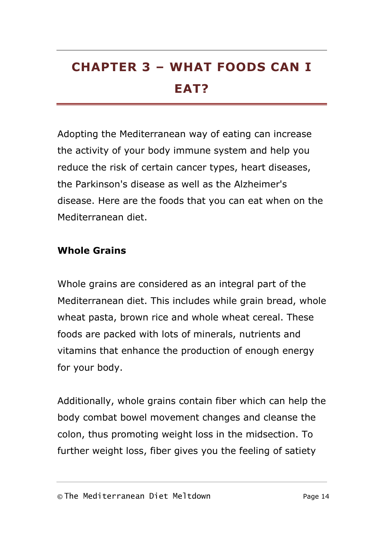# <span id="page-16-0"></span>**CHAPTER 3 – WHAT FOODS CAN I EAT?**

Adopting the Mediterranean way of eating can increase the activity of your body immune system and help you reduce the risk of certain cancer types, heart diseases, the Parkinson's disease as well as the Alzheimer's disease. Here are the foods that you can eat when on the Mediterranean diet.

# **Whole Grains**

Whole grains are considered as an integral part of the Mediterranean diet. This includes while grain bread, whole wheat pasta, brown rice and whole wheat cereal. These foods are packed with lots of minerals, nutrients and vitamins that enhance the production of enough energy for your body.

Additionally, whole grains contain fiber which can help the body combat bowel movement changes and cleanse the colon, thus promoting weight loss in the midsection. To further weight loss, fiber gives you the feeling of satiety

#### © The Mediterranean Diet Meltdown Page 14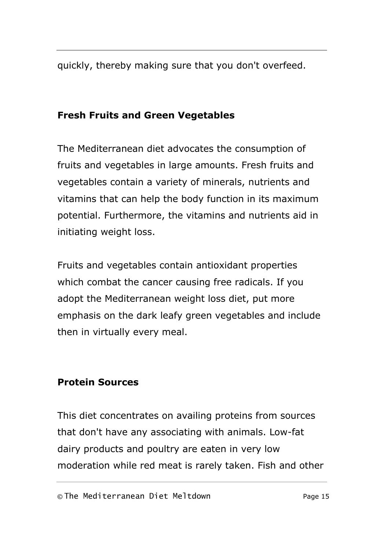quickly, thereby making sure that you don't overfeed.

# **Fresh Fruits and Green Vegetables**

The Mediterranean diet advocates the consumption of fruits and vegetables in large amounts. Fresh fruits and vegetables contain a variety of minerals, nutrients and vitamins that can help the body function in its maximum potential. Furthermore, the vitamins and nutrients aid in initiating weight loss.

Fruits and vegetables contain antioxidant properties which combat the cancer causing free radicals. If you adopt the Mediterranean weight loss diet, put more emphasis on the dark leafy green vegetables and include then in virtually every meal.

# **Protein Sources**

This diet concentrates on availing proteins from sources that don't have any associating with animals. Low-fat dairy products and poultry are eaten in very low moderation while red meat is rarely taken. Fish and other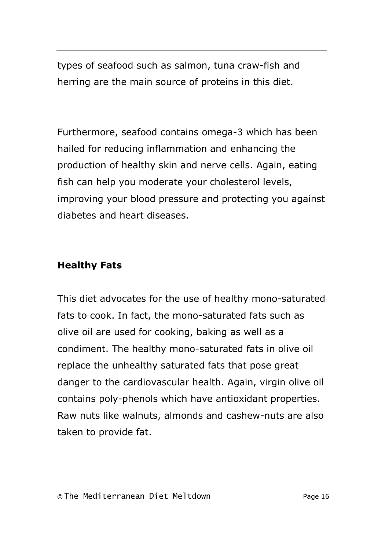types of seafood such as salmon, tuna craw-fish and herring are the main source of proteins in this diet.

Furthermore, seafood contains omega-3 which has been hailed for reducing inflammation and enhancing the production of healthy skin and nerve cells. Again, eating fish can help you moderate your cholesterol levels, improving your blood pressure and protecting you against diabetes and heart diseases.

# **Healthy Fats**

This diet advocates for the use of healthy mono-saturated fats to cook. In fact, the mono-saturated fats such as olive oil are used for cooking, baking as well as a condiment. The healthy mono-saturated fats in olive oil replace the unhealthy saturated fats that pose great danger to the cardiovascular health. Again, virgin olive oil contains poly-phenols which have antioxidant properties. Raw nuts like walnuts, almonds and cashew-nuts are also taken to provide fat.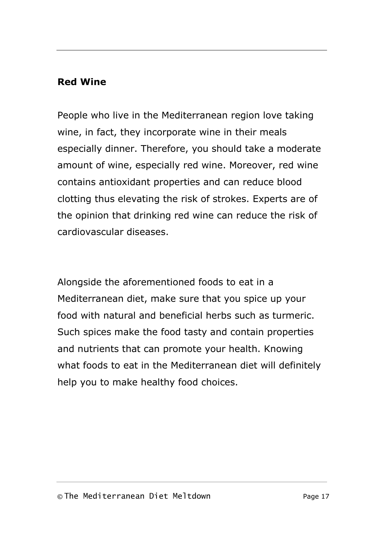# **Red Wine**

People who live in the Mediterranean region love taking wine, in fact, they incorporate wine in their meals especially dinner. Therefore, you should take a moderate amount of wine, especially red wine. Moreover, red wine contains antioxidant properties and can reduce blood clotting thus elevating the risk of strokes. Experts are of the opinion that drinking red wine can reduce the risk of cardiovascular diseases.

Alongside the aforementioned foods to eat in a Mediterranean diet, make sure that you spice up your food with natural and beneficial herbs such as turmeric. Such spices make the food tasty and contain properties and nutrients that can promote your health. Knowing what foods to eat in the Mediterranean diet will definitely help you to make healthy food choices.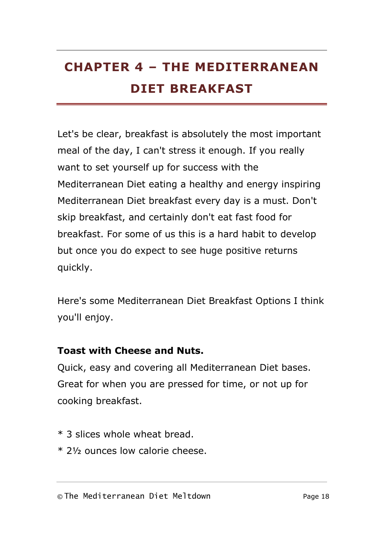# <span id="page-20-0"></span>**CHAPTER 4 – THE MEDITERRANEAN DIET BREAKFAST**

Let's be clear, breakfast is absolutely the most important meal of the day, I can't stress it enough. If you really want to set yourself up for success with the Mediterranean Diet eating a healthy and energy inspiring Mediterranean Diet breakfast every day is a must. Don't skip breakfast, and certainly don't eat fast food for breakfast. For some of us this is a hard habit to develop but once you do expect to see huge positive returns quickly.

Here's some Mediterranean Diet Breakfast Options I think you'll enjoy.

### **Toast with Cheese and Nuts.**

Quick, easy and covering all Mediterranean Diet bases. Great for when you are pressed for time, or not up for cooking breakfast.

- \* 3 slices whole wheat bread.
- \* 2½ ounces low calorie cheese.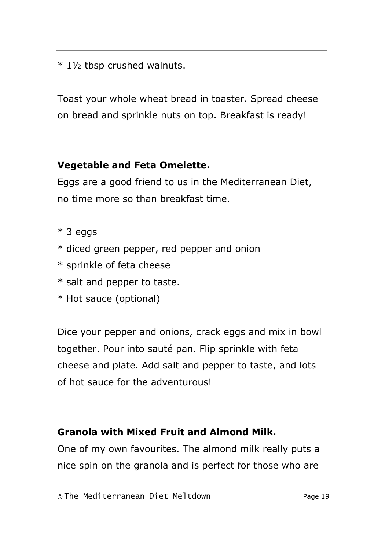\* 1½ tbsp crushed walnuts.

Toast your whole wheat bread in toaster. Spread cheese on bread and sprinkle nuts on top. Breakfast is ready!

# **Vegetable and Feta Omelette.**

Eggs are a good friend to us in the Mediterranean Diet, no time more so than breakfast time.

- \* 3 eggs
- \* diced green pepper, red pepper and onion
- \* sprinkle of feta cheese
- \* salt and pepper to taste.
- \* Hot sauce (optional)

Dice your pepper and onions, crack eggs and mix in bowl together. Pour into sauté pan. Flip sprinkle with feta cheese and plate. Add salt and pepper to taste, and lots of hot sauce for the adventurous!

# **Granola with Mixed Fruit and Almond Milk.**

One of my own favourites. The almond milk really puts a nice spin on the granola and is perfect for those who are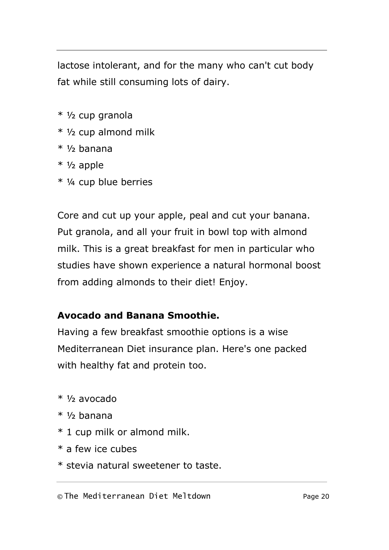lactose intolerant, and for the many who can't cut body fat while still consuming lots of dairy.

- \* ½ cup granola
- \* ½ cup almond milk
- $*$  1/<sub>2</sub> banana
- \* ½ apple
- \* ¼ cup blue berries

Core and cut up your apple, peal and cut your banana. Put granola, and all your fruit in bowl top with almond milk. This is a great breakfast for men in particular who studies have shown experience a natural hormonal boost from adding almonds to their diet! Enjoy.

# **Avocado and Banana Smoothie.**

Having a few breakfast smoothie options is a wise Mediterranean Diet insurance plan. Here's one packed with healthy fat and protein too.

- $*$  1/<sub>2</sub> avocado
- $*$  1/2 banana
- \* 1 cup milk or almond milk.
- \* a few ice cubes
- \* stevia natural sweetener to taste.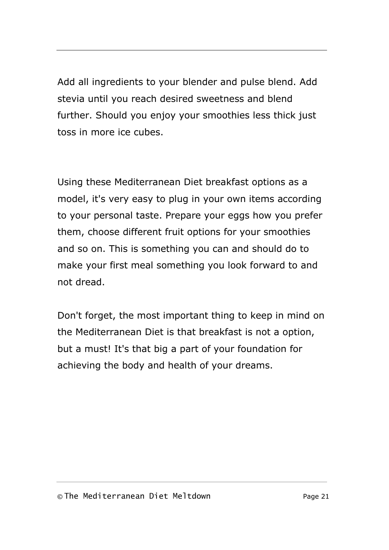Add all ingredients to your blender and pulse blend. Add stevia until you reach desired sweetness and blend further. Should you enjoy your smoothies less thick just toss in more ice cubes.

Using these Mediterranean Diet breakfast options as a model, it's very easy to plug in your own items according to your personal taste. Prepare your eggs how you prefer them, choose different fruit options for your smoothies and so on. This is something you can and should do to make your first meal something you look forward to and not dread.

Don't forget, the most important thing to keep in mind on the Mediterranean Diet is that breakfast is not a option, but a must! It's that big a part of your foundation for achieving the body and health of your dreams.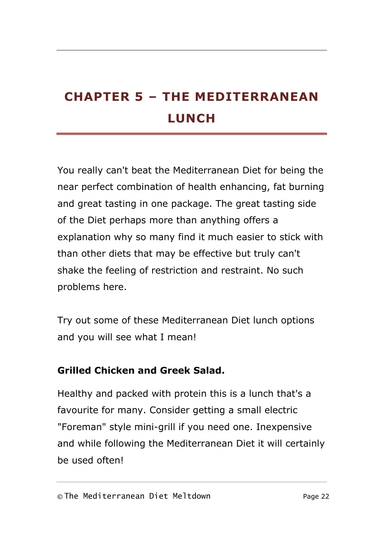# <span id="page-24-0"></span>**CHAPTER 5 – THE MEDITERRANEAN LUNCH**

You really can't beat the Mediterranean Diet for being the near perfect combination of health enhancing, fat burning and great tasting in one package. The great tasting side of the Diet perhaps more than anything offers a explanation why so many find it much easier to stick with than other diets that may be effective but truly can't shake the feeling of restriction and restraint. No such problems here.

Try out some of these Mediterranean Diet lunch options and you will see what I mean!

# **Grilled Chicken and Greek Salad.**

Healthy and packed with protein this is a lunch that's a favourite for many. Consider getting a small electric "Foreman" style mini-grill if you need one. Inexpensive and while following the Mediterranean Diet it will certainly be used often!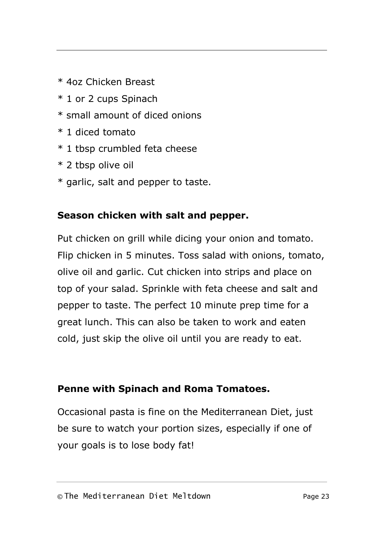- \* 4oz Chicken Breast
- \* 1 or 2 cups Spinach
- \* small amount of diced onions
- \* 1 diced tomato
- \* 1 tbsp crumbled feta cheese
- \* 2 tbsp olive oil
- \* garlic, salt and pepper to taste.

### **Season chicken with salt and pepper.**

Put chicken on grill while dicing your onion and tomato. Flip chicken in 5 minutes. Toss salad with onions, tomato, olive oil and garlic. Cut chicken into strips and place on top of your salad. Sprinkle with feta cheese and salt and pepper to taste. The perfect 10 minute prep time for a great lunch. This can also be taken to work and eaten cold, just skip the olive oil until you are ready to eat.

### **Penne with Spinach and Roma Tomatoes.**

Occasional pasta is fine on the Mediterranean Diet, just be sure to watch your portion sizes, especially if one of your goals is to lose body fat!

#### © The Mediterranean Diet Meltdown Page 23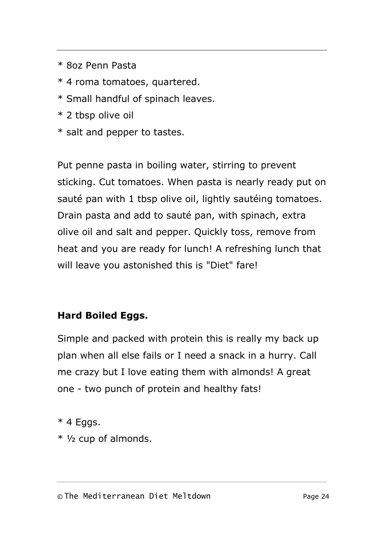- \* 8oz Penn Pasta
- \* 4 roma tomatoes, quartered.
- \* Small handful of spinach leaves.
- \* 2 tbsp olive oil
- \* salt and pepper to tastes.

Put penne pasta in boiling water, stirring to prevent sticking. Cut tomatoes. When pasta is nearly ready put on sauté pan with 1 tbsp olive oil, lightly sautéing tomatoes. Drain pasta and add to sauté pan, with spinach, extra olive oil and salt and pepper. Quickly toss, remove from heat and you are ready for lunch! A refreshing lunch that will leave you astonished this is "Diet" fare!

# **Hard Boiled Eggs.**

Simple and packed with protein this is really my back up plan when all else fails or I need a snack in a hurry. Call me crazy but I love eating them with almonds! A great one - two punch of protein and healthy fats!

 $*$  4 Eggs.

\* ½ cup of almonds.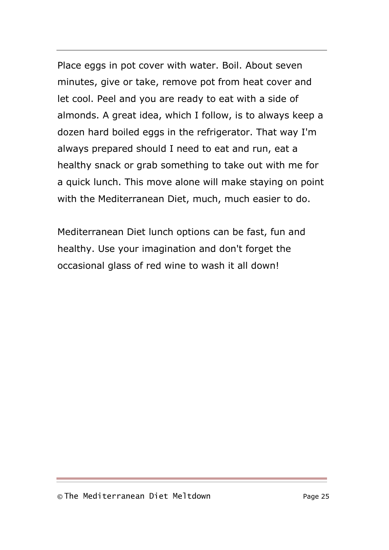Place eggs in pot cover with water. Boil. About seven minutes, give or take, remove pot from heat cover and let cool. Peel and you are ready to eat with a side of almonds. A great idea, which I follow, is to always keep a dozen hard boiled eggs in the refrigerator. That way I'm always prepared should I need to eat and run, eat a healthy snack or grab something to take out with me for a quick lunch. This move alone will make staying on point with the Mediterranean Diet, much, much easier to do.

Mediterranean Diet lunch options can be fast, fun and healthy. Use your imagination and don't forget the occasional glass of red wine to wash it all down!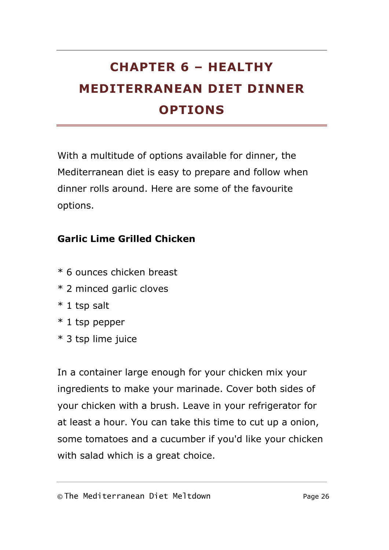# <span id="page-28-0"></span>**CHAPTER 6 – HEALTHY MEDITERRANEAN DIET DINNER OPTIONS**

With a multitude of options available for dinner, the Mediterranean diet is easy to prepare and follow when dinner rolls around. Here are some of the favourite options.

# **Garlic Lime Grilled Chicken**

- \* 6 ounces chicken breast
- \* 2 minced garlic cloves
- \* 1 tsp salt
- \* 1 tsp pepper
- \* 3 tsp lime juice

In a container large enough for your chicken mix your ingredients to make your marinade. Cover both sides of your chicken with a brush. Leave in your refrigerator for at least a hour. You can take this time to cut up a onion, some tomatoes and a cucumber if you'd like your chicken with salad which is a great choice.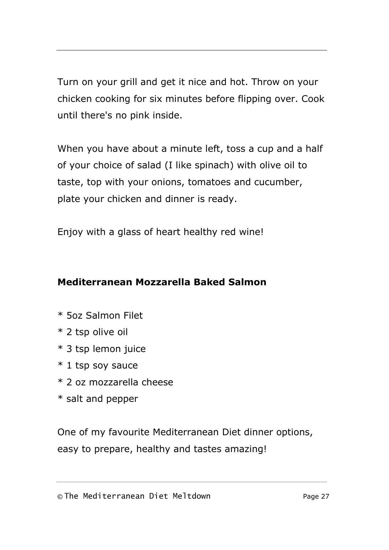Turn on your grill and get it nice and hot. Throw on your chicken cooking for six minutes before flipping over. Cook until there's no pink inside.

When you have about a minute left, toss a cup and a half of your choice of salad (I like spinach) with olive oil to taste, top with your onions, tomatoes and cucumber, plate your chicken and dinner is ready.

Enjoy with a glass of heart healthy red wine!

# **Mediterranean Mozzarella Baked Salmon**

- \* 5oz Salmon Filet
- \* 2 tsp olive oil
- \* 3 tsp lemon juice
- \* 1 tsp soy sauce
- \* 2 oz mozzarella cheese
- \* salt and pepper

One of my favourite Mediterranean Diet dinner options, easy to prepare, healthy and tastes amazing!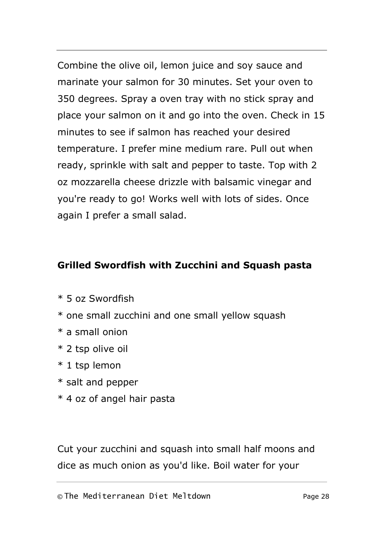Combine the olive oil, lemon juice and soy sauce and marinate your salmon for 30 minutes. Set your oven to 350 degrees. Spray a oven tray with no stick spray and place your salmon on it and go into the oven. Check in 15 minutes to see if salmon has reached your desired temperature. I prefer mine medium rare. Pull out when ready, sprinkle with salt and pepper to taste. Top with 2 oz mozzarella cheese drizzle with balsamic vinegar and you're ready to go! Works well with lots of sides. Once again I prefer a small salad.

# **Grilled Swordfish with Zucchini and Squash pasta**

- \* 5 oz Swordfish
- \* one small zucchini and one small yellow squash
- \* a small onion
- \* 2 tsp olive oil
- \* 1 tsp lemon
- \* salt and pepper
- \* 4 oz of angel hair pasta

Cut your zucchini and squash into small half moons and dice as much onion as you'd like. Boil water for your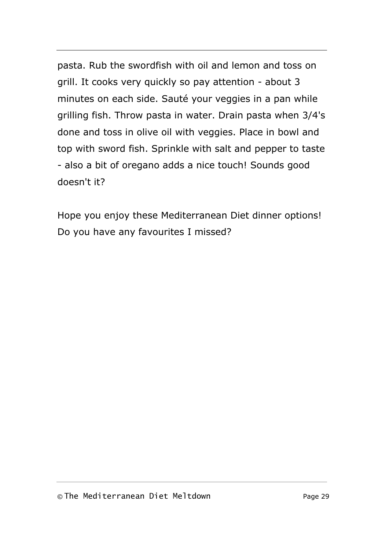pasta. Rub the swordfish with oil and lemon and toss on grill. It cooks very quickly so pay attention - about 3 minutes on each side. Sauté your veggies in a pan while grilling fish. Throw pasta in water. Drain pasta when 3/4's done and toss in olive oil with veggies. Place in bowl and top with sword fish. Sprinkle with salt and pepper to taste - also a bit of oregano adds a nice touch! Sounds good doesn't it?

Hope you enjoy these Mediterranean Diet dinner options! Do you have any favourites I missed?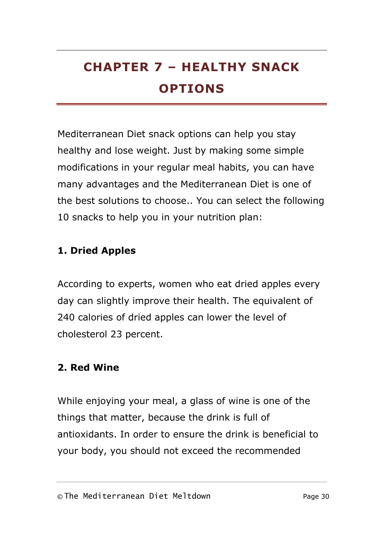# <span id="page-32-0"></span>**CHAPTER 7 – HEALTHY SNACK OPTIONS**

Mediterranean Diet snack options can help you stay healthy and lose weight. Just by making some simple modifications in your regular meal habits, you can have many advantages and the Mediterranean Diet is one of the best solutions to choose.. You can select the following 10 snacks to help you in your nutrition plan:

# **1. Dried Apples**

According to experts, women who eat dried apples every day can slightly improve their health. The equivalent of 240 calories of dried apples can lower the level of cholesterol 23 percent.

### **2. Red Wine**

While enjoying your meal, a glass of wine is one of the things that matter, because the drink is full of antioxidants. In order to ensure the drink is beneficial to your body, you should not exceed the recommended

#### © The Mediterranean Diet Meltdown Page 30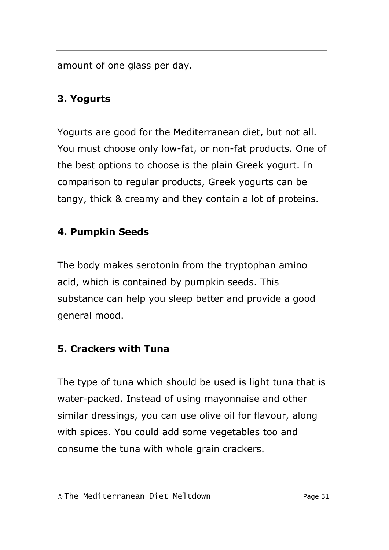amount of one glass per day.

# **3. Yogurts**

Yogurts are good for the Mediterranean diet, but not all. You must choose only low-fat, or non-fat products. One of the best options to choose is the plain Greek yogurt. In comparison to regular products, Greek yogurts can be tangy, thick & creamy and they contain a lot of proteins.

# **4. Pumpkin Seeds**

The body makes serotonin from the tryptophan amino acid, which is contained by pumpkin seeds. This substance can help you sleep better and provide a good general mood.

# **5. Crackers with Tuna**

The type of tuna which should be used is light tuna that is water-packed. Instead of using mayonnaise and other similar dressings, you can use olive oil for flavour, along with spices. You could add some vegetables too and consume the tuna with whole grain crackers.

#### © The Mediterranean Diet Meltdown Page 31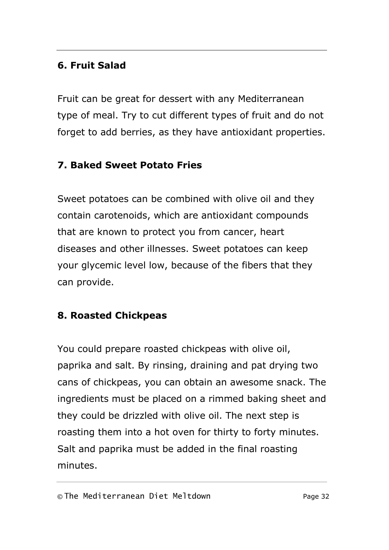# **6. Fruit Salad**

Fruit can be great for dessert with any Mediterranean type of meal. Try to cut different types of fruit and do not forget to add berries, as they have antioxidant properties.

# **7. Baked Sweet Potato Fries**

Sweet potatoes can be combined with olive oil and they contain carotenoids, which are antioxidant compounds that are known to protect you from cancer, heart diseases and other illnesses. Sweet potatoes can keep your glycemic level low, because of the fibers that they can provide.

# **8. Roasted Chickpeas**

You could prepare roasted chickpeas with olive oil, paprika and salt. By rinsing, draining and pat drying two cans of chickpeas, you can obtain an awesome snack. The ingredients must be placed on a rimmed baking sheet and they could be drizzled with olive oil. The next step is roasting them into a hot oven for thirty to forty minutes. Salt and paprika must be added in the final roasting minutes.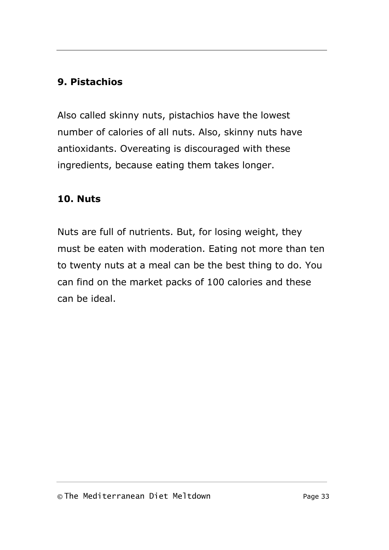# **9. Pistachios**

Also called skinny nuts, pistachios have the lowest number of calories of all nuts. Also, skinny nuts have antioxidants. Overeating is discouraged with these ingredients, because eating them takes longer.

# **10. Nuts**

Nuts are full of nutrients. But, for losing weight, they must be eaten with moderation. Eating not more than ten to twenty nuts at a meal can be the best thing to do. You can find on the market packs of 100 calories and these can be ideal.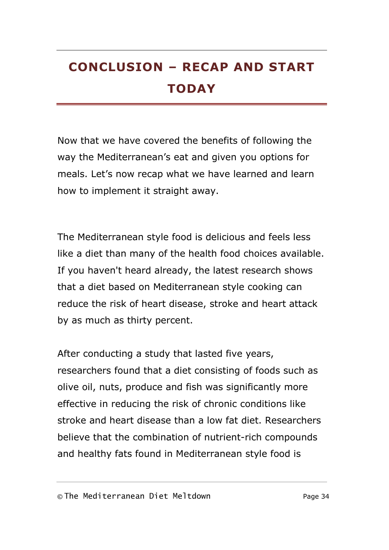# <span id="page-36-0"></span>**CONCLUSION – RECAP AND START TODAY**

Now that we have covered the benefits of following the way the Mediterranean's eat and given you options for meals. Let's now recap what we have learned and learn how to implement it straight away.

The Mediterranean style food is delicious and feels less like a diet than many of the health food choices available. If you haven't heard already, the latest research shows that a diet based on Mediterranean style cooking can reduce the risk of heart disease, stroke and heart attack by as much as thirty percent.

After conducting a study that lasted five years, researchers found that a diet consisting of foods such as olive oil, nuts, produce and fish was significantly more effective in reducing the risk of chronic conditions like stroke and heart disease than a low fat diet. Researchers believe that the combination of nutrient-rich compounds and healthy fats found in Mediterranean style food is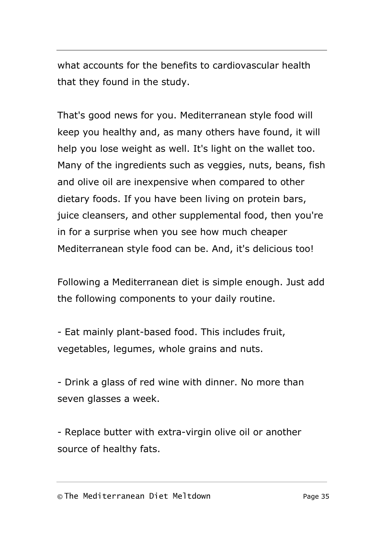what accounts for the benefits to cardiovascular health that they found in the study.

That's good news for you. Mediterranean style food will keep you healthy and, as many others have found, it will help you lose weight as well. It's light on the wallet too. Many of the ingredients such as veggies, nuts, beans, fish and olive oil are inexpensive when compared to other dietary foods. If you have been living on protein bars, juice cleansers, and other supplemental food, then you're in for a surprise when you see how much cheaper Mediterranean style food can be. And, it's delicious too!

Following a Mediterranean diet is simple enough. Just add the following components to your daily routine.

- Eat mainly plant-based food. This includes fruit, vegetables, legumes, whole grains and nuts.

- Drink a glass of red wine with dinner. No more than seven glasses a week.

- Replace butter with extra-virgin olive oil or another source of healthy fats.